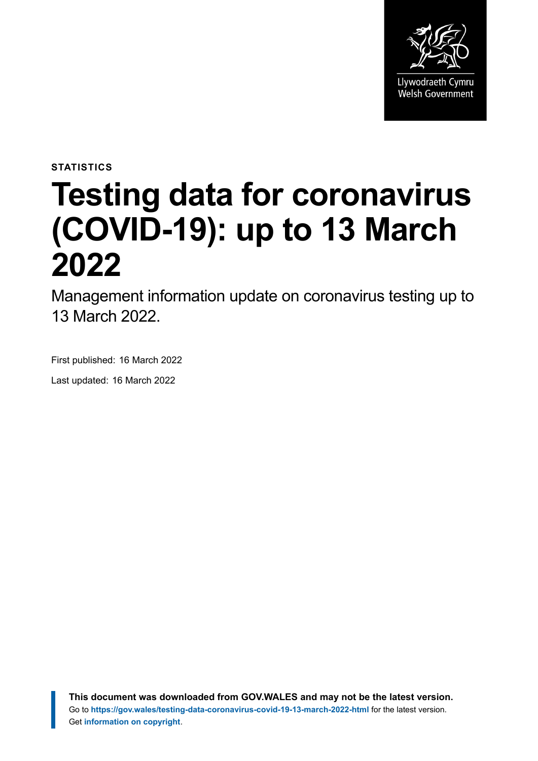

**STATISTICS**

# **Testing data for coronavirus (COVID-19): up to 13 March 2022**

Management information update on coronavirus testing up to 13 March 2022.

First published: 16 March 2022

Last updated: 16 March 2022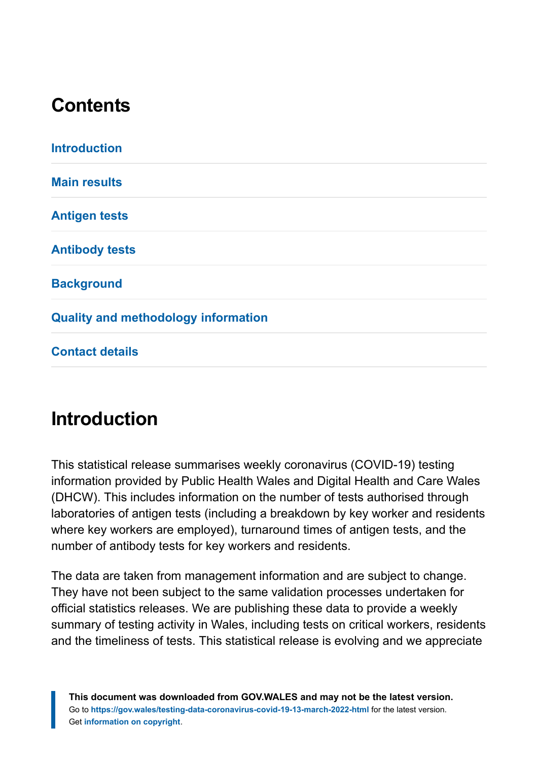# **Contents**

| <b>Introduction</b>                        |  |
|--------------------------------------------|--|
| <b>Main results</b>                        |  |
| <b>Antigen tests</b>                       |  |
| <b>Antibody tests</b>                      |  |
| <b>Background</b>                          |  |
| <b>Quality and methodology information</b> |  |
| <b>Contact details</b>                     |  |

# <span id="page-1-0"></span>**Introduction**

This statistical release summarises weekly coronavirus (COVID-19) testing information provided by Public Health Wales and Digital Health and Care Wales (DHCW). This includes information on the number of tests authorised through laboratories of antigen tests (including a breakdown by key worker and residents where key workers are employed), turnaround times of antigen tests, and the number of antibody tests for key workers and residents.

The data are taken from management information and are subject to change. They have not been subject to the same validation processes undertaken for official statistics releases. We are publishing these data to provide a weekly summary of testing activity in Wales, including tests on critical workers, residents and the timeliness of tests. This statistical release is evolving and we appreciate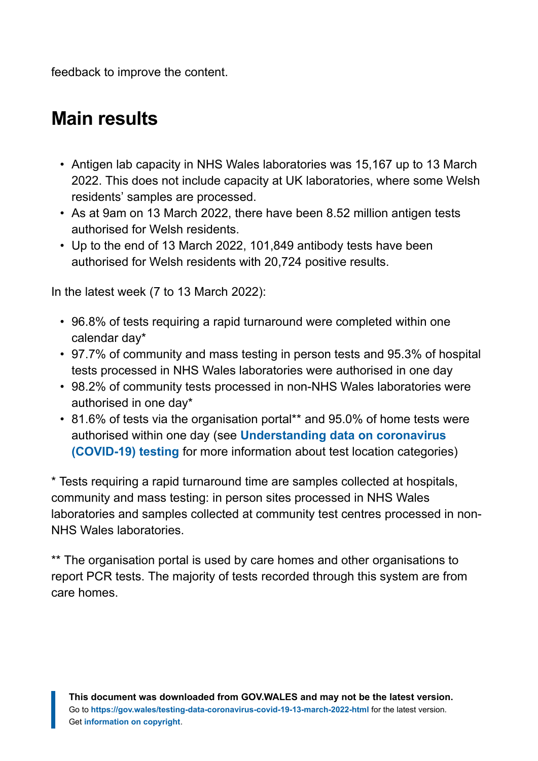feedback to improve the content.

# <span id="page-2-0"></span>**Main results**

- Antigen lab capacity in NHS Wales laboratories was 15,167 up to 13 March 2022. This does not include capacity at UK laboratories, where some Welsh residents' samples are processed.
- As at 9am on 13 March 2022, there have been 8.52 million antigen tests authorised for Welsh residents.
- Up to the end of 13 March 2022, 101,849 antibody tests have been authorised for Welsh residents with 20,724 positive results.

In the latest week (7 to 13 March 2022):

- 96.8% of tests requiring a rapid turnaround were completed within one calendar day\*
- 97.7% of community and mass testing in person tests and 95.3% of hospital tests processed in NHS Wales laboratories were authorised in one day
- 98.2% of community tests processed in non-NHS Wales laboratories were authorised in one day\*
- 81.6% of tests via the organisation portal\*\* and 95.0% of home tests were authorised within one day (see **[Understanding data on coronavirus](https://gov.wales/understanding-data-coronavirus-covid-19-testing) [\(COVID-19\) testing](https://gov.wales/understanding-data-coronavirus-covid-19-testing)** for more information about test location categories)

\* Tests requiring a rapid turnaround time are samples collected at hospitals, community and mass testing: in person sites processed in NHS Wales laboratories and samples collected at community test centres processed in non-NHS Wales laboratories.

\*\* The organisation portal is used by care homes and other organisations to report PCR tests. The majority of tests recorded through this system are from care homes.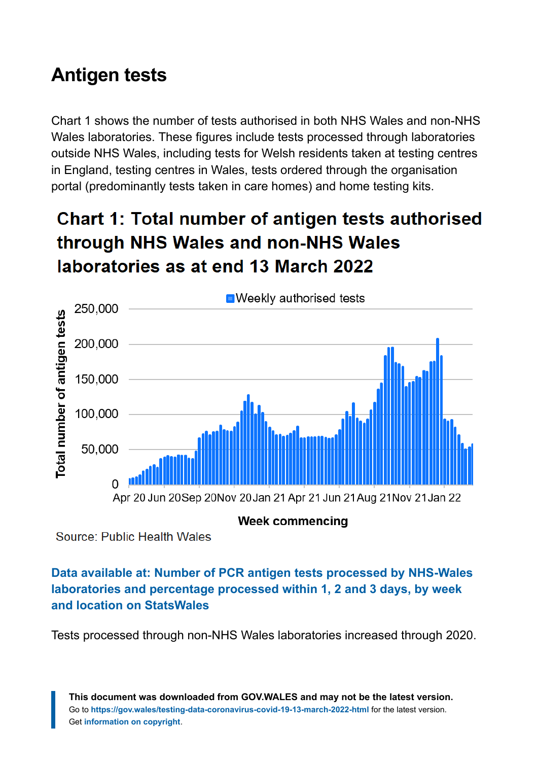# <span id="page-3-0"></span>**Antigen tests**

Chart 1 shows the number of tests authorised in both NHS Wales and non-NHS Wales laboratories. These figures include tests processed through laboratories outside NHS Wales, including tests for Welsh residents taken at testing centres in England, testing centres in Wales, tests ordered through the organisation portal (predominantly tests taken in care homes) and home testing kits.

# **Chart 1: Total number of antigen tests authorised** through NHS Wales and non-NHS Wales laboratories as at end 13 March 2022



**Week commencing** 

Source: Public Health Wales

#### **Data available at: [Number of PCR antigen tests processed by NHS-Wales](https://statswales.gov.wales/Catalogue/Health-and-Social-Care/coronavirus-covid-19/testing-data-for-coronavirus-covid-19/numberofpcrantigentestsprocessedbynhswaleslaboratoriesandpercentageprocessedwithin12and3days-by-week-location) [laboratories and percentage processed within 1, 2 and 3 days, by week](https://statswales.gov.wales/Catalogue/Health-and-Social-Care/coronavirus-covid-19/testing-data-for-coronavirus-covid-19/numberofpcrantigentestsprocessedbynhswaleslaboratoriesandpercentageprocessedwithin12and3days-by-week-location) [and location on StatsWales](https://statswales.gov.wales/Catalogue/Health-and-Social-Care/coronavirus-covid-19/testing-data-for-coronavirus-covid-19/numberofpcrantigentestsprocessedbynhswaleslaboratoriesandpercentageprocessedwithin12and3days-by-week-location)**

Tests processed through non-NHS Wales laboratories increased through 2020.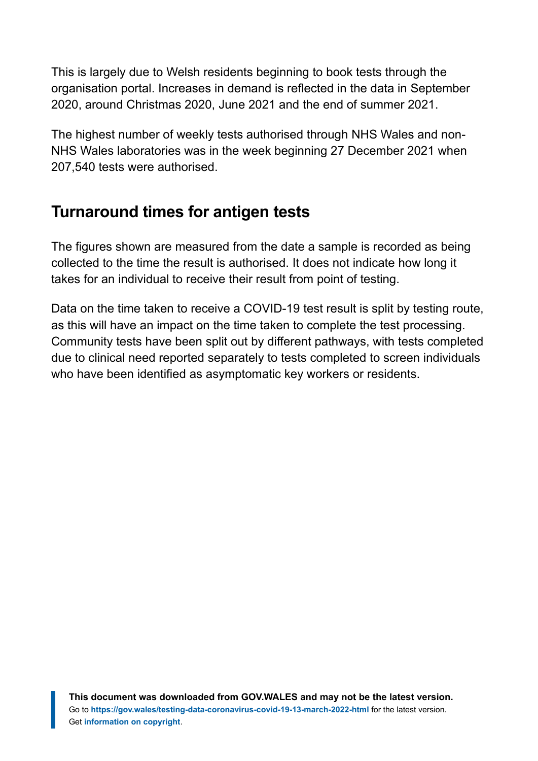This is largely due to Welsh residents beginning to book tests through the organisation portal. Increases in demand is reflected in the data in September 2020, around Christmas 2020, June 2021 and the end of summer 2021.

The highest number of weekly tests authorised through NHS Wales and non-NHS Wales laboratories was in the week beginning 27 December 2021 when 207,540 tests were authorised.

### **Turnaround times for antigen tests**

The figures shown are measured from the date a sample is recorded as being collected to the time the result is authorised. It does not indicate how long it takes for an individual to receive their result from point of testing.

Data on the time taken to receive a COVID-19 test result is split by testing route, as this will have an impact on the time taken to complete the test processing. Community tests have been split out by different pathways, with tests completed due to clinical need reported separately to tests completed to screen individuals who have been identified as asymptomatic key workers or residents.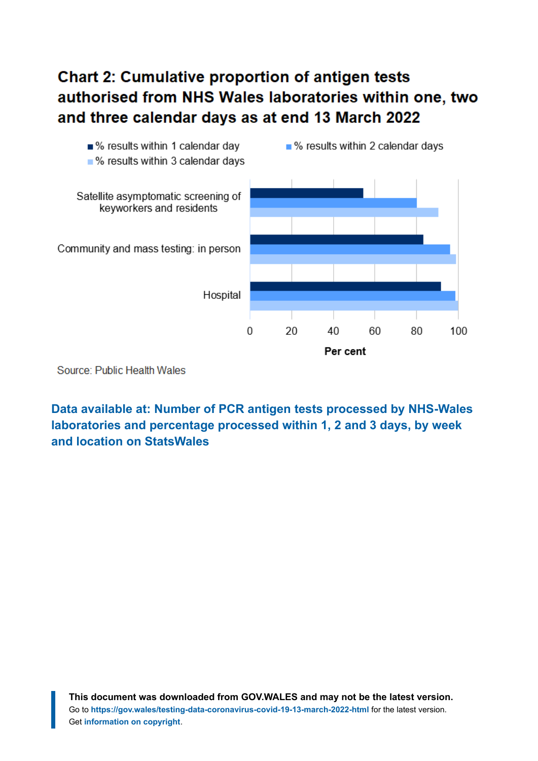### **Chart 2: Cumulative proportion of antigen tests** authorised from NHS Wales laboratories within one, two and three calendar days as at end 13 March 2022



Source: Public Health Wales

**Data available at: [Number of PCR antigen tests processed by NHS-Wales](https://statswales.gov.wales/Catalogue/Health-and-Social-Care/coronavirus-covid-19/testing-data-for-coronavirus-covid-19/numberofpcrantigentestsprocessedbynhswaleslaboratoriesandpercentageprocessedwithin12and3days-by-week-location?_ga=2.190188907.1728574895.1642403638-1086771297.1619441781) [laboratories and percentage processed within 1, 2 and 3 days, by week](https://statswales.gov.wales/Catalogue/Health-and-Social-Care/coronavirus-covid-19/testing-data-for-coronavirus-covid-19/numberofpcrantigentestsprocessedbynhswaleslaboratoriesandpercentageprocessedwithin12and3days-by-week-location?_ga=2.190188907.1728574895.1642403638-1086771297.1619441781) [and location on StatsWales](https://statswales.gov.wales/Catalogue/Health-and-Social-Care/coronavirus-covid-19/testing-data-for-coronavirus-covid-19/numberofpcrantigentestsprocessedbynhswaleslaboratoriesandpercentageprocessedwithin12and3days-by-week-location?_ga=2.190188907.1728574895.1642403638-1086771297.1619441781)**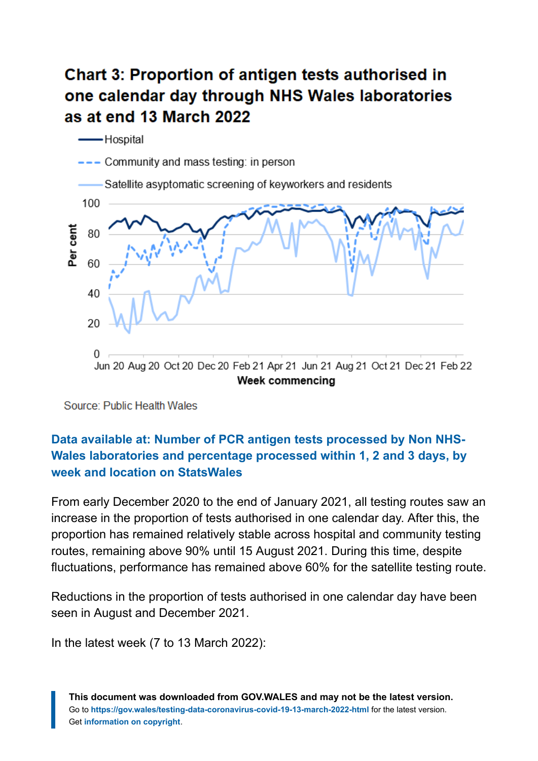# **Chart 3: Proportion of antigen tests authorised in** one calendar day through NHS Wales laboratories as at end 13 March 2022



Source: Public Health Wales

#### **Data available at: [Number of PCR antigen tests processed by Non NHS-](https://statswales.gov.wales/Catalogue/Health-and-Social-Care/coronavirus-covid-19/testing-data-for-coronavirus-covid-19/numberofpcrantigentestsprocessedbynonnhswaleslaboratoriesandpercentageprocessedwithin12and3days-by-week-location)[Wales laboratories and percentage processed within 1, 2 and 3 days, by](https://statswales.gov.wales/Catalogue/Health-and-Social-Care/coronavirus-covid-19/testing-data-for-coronavirus-covid-19/numberofpcrantigentestsprocessedbynonnhswaleslaboratoriesandpercentageprocessedwithin12and3days-by-week-location) [week and location on StatsWales](https://statswales.gov.wales/Catalogue/Health-and-Social-Care/coronavirus-covid-19/testing-data-for-coronavirus-covid-19/numberofpcrantigentestsprocessedbynonnhswaleslaboratoriesandpercentageprocessedwithin12and3days-by-week-location)**

From early December 2020 to the end of January 2021, all testing routes saw an increase in the proportion of tests authorised in one calendar day. After this, the proportion has remained relatively stable across hospital and community testing routes, remaining above 90% until 15 August 2021. During this time, despite fluctuations, performance has remained above 60% for the satellite testing route.

Reductions in the proportion of tests authorised in one calendar day have been seen in August and December 2021.

In the latest week (7 to 13 March 2022):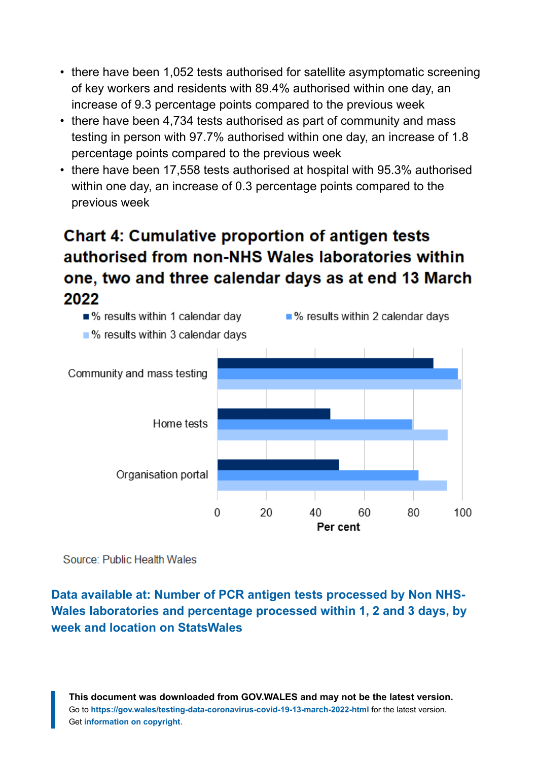- there have been 1,052 tests authorised for satellite asymptomatic screening of key workers and residents with 89.4% authorised within one day, an increase of 9.3 percentage points compared to the previous week
- there have been 4,734 tests authorised as part of community and mass testing in person with 97.7% authorised within one day, an increase of 1.8 percentage points compared to the previous week
- there have been 17,558 tests authorised at hospital with 95.3% authorised within one day, an increase of 0.3 percentage points compared to the previous week

# **Chart 4: Cumulative proportion of antigen tests** authorised from non-NHS Wales laboratories within one, two and three calendar days as at end 13 March 2022



Source: Public Health Wales

#### **Data available at: [Number of PCR antigen tests processed by Non NHS-](https://statswales.gov.wales/Catalogue/Health-and-Social-Care/coronavirus-covid-19/testing-data-for-coronavirus-covid-19/numberofpcrantigentestsprocessedbynonnhswaleslaboratoriesandpercentageprocessedwithin12and3days-by-week-location?_ga=2.249563334.1728574895.1642403638-1086771297.1619441781)[Wales laboratories and percentage processed within 1, 2 and 3 days, by](https://statswales.gov.wales/Catalogue/Health-and-Social-Care/coronavirus-covid-19/testing-data-for-coronavirus-covid-19/numberofpcrantigentestsprocessedbynonnhswaleslaboratoriesandpercentageprocessedwithin12and3days-by-week-location?_ga=2.249563334.1728574895.1642403638-1086771297.1619441781) [week and location on StatsWales](https://statswales.gov.wales/Catalogue/Health-and-Social-Care/coronavirus-covid-19/testing-data-for-coronavirus-covid-19/numberofpcrantigentestsprocessedbynonnhswaleslaboratoriesandpercentageprocessedwithin12and3days-by-week-location?_ga=2.249563334.1728574895.1642403638-1086771297.1619441781)**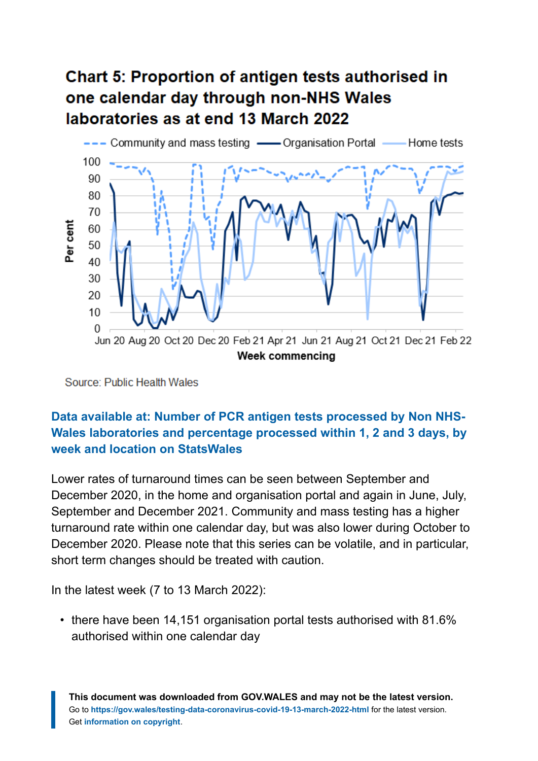# **Chart 5: Proportion of antigen tests authorised in** one calendar day through non-NHS Wales laboratories as at end 13 March 2022



Source: Public Health Wales

#### **[Data available at: Number of PCR antigen tests processed by Non NHS-](https://statswales.gov.wales/Catalogue/Health-and-Social-Care/coronavirus-covid-19/testing-data-for-coronavirus-covid-19/numberofpcrantigentestsprocessedbynonnhswaleslaboratoriesandpercentageprocessedwithin12and3days-by-week-location)[Wales laboratories and percentage processed within 1, 2 and 3 days, by](https://statswales.gov.wales/Catalogue/Health-and-Social-Care/coronavirus-covid-19/testing-data-for-coronavirus-covid-19/numberofpcrantigentestsprocessedbynonnhswaleslaboratoriesandpercentageprocessedwithin12and3days-by-week-location) [week and location on StatsWales](https://statswales.gov.wales/Catalogue/Health-and-Social-Care/coronavirus-covid-19/testing-data-for-coronavirus-covid-19/numberofpcrantigentestsprocessedbynonnhswaleslaboratoriesandpercentageprocessedwithin12and3days-by-week-location)**

Lower rates of turnaround times can be seen between September and December 2020, in the home and organisation portal and again in June, July, September and December 2021. Community and mass testing has a higher turnaround rate within one calendar day, but was also lower during October to December 2020. Please note that this series can be volatile, and in particular, short term changes should be treated with caution.

In the latest week (7 to 13 March 2022):

• there have been 14,151 organisation portal tests authorised with 81.6% authorised within one calendar day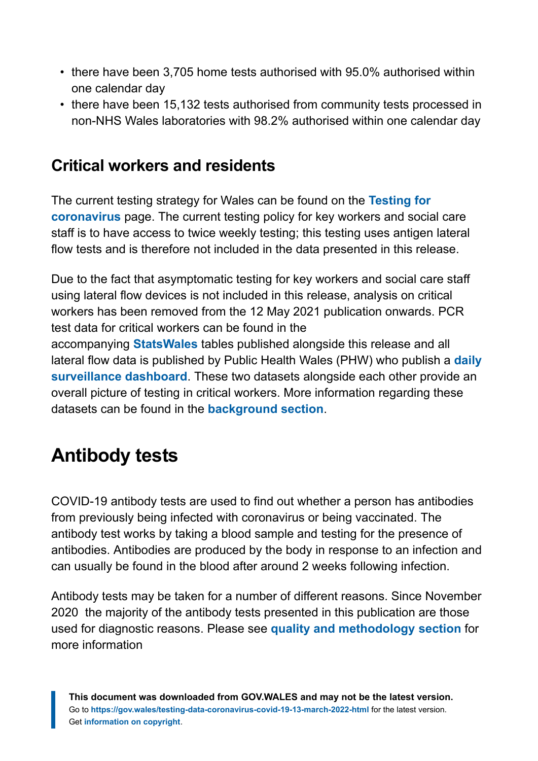- there have been 3,705 home tests authorised with 95.0% authorised within one calendar day
- there have been 15,132 tests authorised from community tests processed in non-NHS Wales laboratories with 98.2% authorised within one calendar day

### **Critical workers and residents**

The current testing strategy for Wales can be found on the **[Testing for](https://gov.wales/testing-coronavirus-weekly-updates) [coronavirus](https://gov.wales/testing-coronavirus-weekly-updates)** page. The current testing policy for key workers and social care staff is to have access to twice weekly testing; this testing uses antigen lateral flow tests and is therefore not included in the data presented in this release.

Due to the fact that asymptomatic testing for key workers and social care staff using lateral flow devices is not included in this release, analysis on critical workers has been removed from the 12 May 2021 publication onwards. PCR test data for critical workers can be found in the accompanying **[StatsWales](https://statswales.gov.wales/Catalogue/Health-and-Social-Care/coronavirus-covid-19/testing-data-for-coronavirus-covid-19)** tables published alongside this release and all lateral flow data is published by Public Health Wales (PHW) who publish a **[daily](https://public.tableau.com/profile/public.health.wales.health.protection#!/vizhome/RapidCOVID-19virology-Public/Headlinesummary) [surveillance dashboard](https://public.tableau.com/profile/public.health.wales.health.protection#!/vizhome/RapidCOVID-19virology-Public/Headlinesummary)**. These two datasets alongside each other provide an overall picture of testing in critical workers. More information regarding these datasets can be found in the **[background section](#page-10-0)**.

# <span id="page-9-0"></span>**Antibody tests**

COVID-19 antibody tests are used to find out whether a person has antibodies from previously being infected with coronavirus or being vaccinated. The antibody test works by taking a blood sample and testing for the presence of antibodies. Antibodies are produced by the body in response to an infection and can usually be found in the blood after around 2 weeks following infection.

Antibody tests may be taken for a number of different reasons. Since November 2020 the majority of the antibody tests presented in this publication are those used for diagnostic reasons. Please see **[quality and methodology section](#page-15-0)** for more information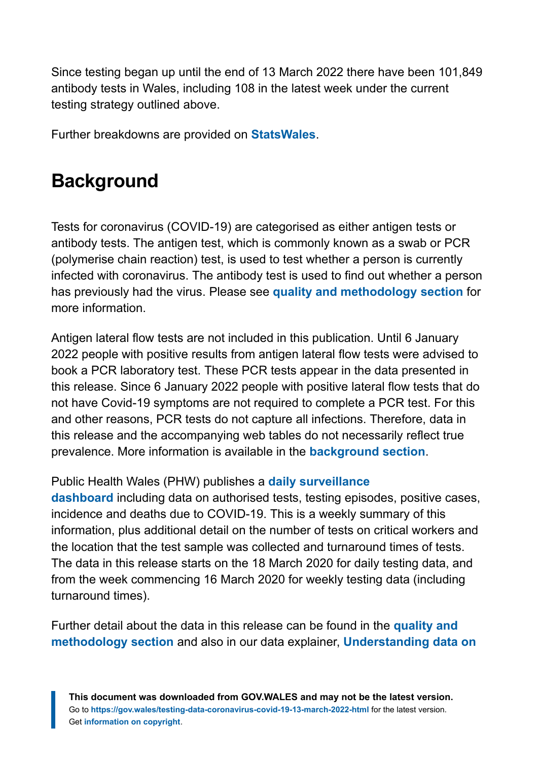Since testing began up until the end of 13 March 2022 there have been 101,849 antibody tests in Wales, including 108 in the latest week under the current testing strategy outlined above.

Further breakdowns are provided on **[StatsWales](https://statswales.gov.wales/Catalogue/Health-and-Social-Care/coronavirus-covid-19/testing-data-for-coronavirus-covid-19)**.

# <span id="page-10-0"></span>**Background**

Tests for coronavirus (COVID-19) are categorised as either antigen tests or antibody tests. The antigen test, which is commonly known as a swab or PCR (polymerise chain reaction) test, is used to test whether a person is currently infected with coronavirus. The antibody test is used to find out whether a person has previously had the virus. Please see **[quality and methodology section](#page-15-0)** for more information.

Antigen lateral flow tests are not included in this publication. Until 6 January 2022 people with positive results from antigen lateral flow tests were advised to book a PCR laboratory test. These PCR tests appear in the data presented in this release. Since 6 January 2022 people with positive lateral flow tests that do not have Covid-19 symptoms are not required to complete a PCR test. For this and other reasons, PCR tests do not capture all infections. Therefore, data in this release and the accompanying web tables do not necessarily reflect true prevalence. More information is available in the **[background section](#page-10-0)**.

#### Public Health Wales (PHW) publishes a **[daily surveillance](https://public.tableau.com/profile/public.health.wales.health.protection#!/vizhome/RapidCOVID-19virology-Public/Headlinesummary)**

**[dashboard](https://public.tableau.com/profile/public.health.wales.health.protection#!/vizhome/RapidCOVID-19virology-Public/Headlinesummary)** including data on authorised tests, testing episodes, positive cases, incidence and deaths due to COVID-19. This is a weekly summary of this information, plus additional detail on the number of tests on critical workers and the location that the test sample was collected and turnaround times of tests. The data in this release starts on the 18 March 2020 for daily testing data, and from the week commencing 16 March 2020 for weekly testing data (including turnaround times).

Further detail about the data in this release can be found in the **[quality and](#page-15-0) [methodology section](#page-15-0)** and also in our data explainer, **[Understanding data on](https://gov.wales/understanding-data-coronavirus-covid-19-testing)**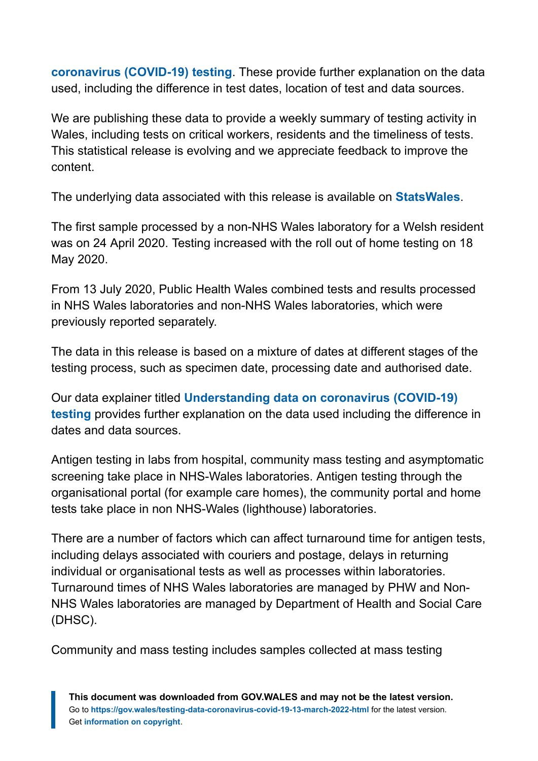**[coronavirus \(COVID-19\) testing](https://gov.wales/understanding-data-coronavirus-covid-19-testing)**. These provide further explanation on the data used, including the difference in test dates, location of test and data sources.

We are publishing these data to provide a weekly summary of testing activity in Wales, including tests on critical workers, residents and the timeliness of tests. This statistical release is evolving and we appreciate feedback to improve the content.

The underlying data associated with this release is available on **[StatsWales](https://statswales.gov.wales/Catalogue/Health-and-Social-Care/coronavirus-covid-19/testing-data-for-coronavirus-covid-19)**.

The first sample processed by a non-NHS Wales laboratory for a Welsh resident was on 24 April 2020. Testing increased with the roll out of home testing on 18 May 2020.

From 13 July 2020, Public Health Wales combined tests and results processed in NHS Wales laboratories and non-NHS Wales laboratories, which were previously reported separately.

The data in this release is based on a mixture of dates at different stages of the testing process, such as specimen date, processing date and authorised date.

Our data explainer titled **[Understanding data on coronavirus \(COVID-19\)](https://gov.wales/understanding-data-coronavirus-covid-19-testing) [testing](https://gov.wales/understanding-data-coronavirus-covid-19-testing)** provides further explanation on the data used including the difference in dates and data sources.

Antigen testing in labs from hospital, community mass testing and asymptomatic screening take place in NHS-Wales laboratories. Antigen testing through the organisational portal (for example care homes), the community portal and home tests take place in non NHS-Wales (lighthouse) laboratories.

There are a number of factors which can affect turnaround time for antigen tests, including delays associated with couriers and postage, delays in returning individual or organisational tests as well as processes within laboratories. Turnaround times of NHS Wales laboratories are managed by PHW and Non-NHS Wales laboratories are managed by Department of Health and Social Care (DHSC).

Community and mass testing includes samples collected at mass testing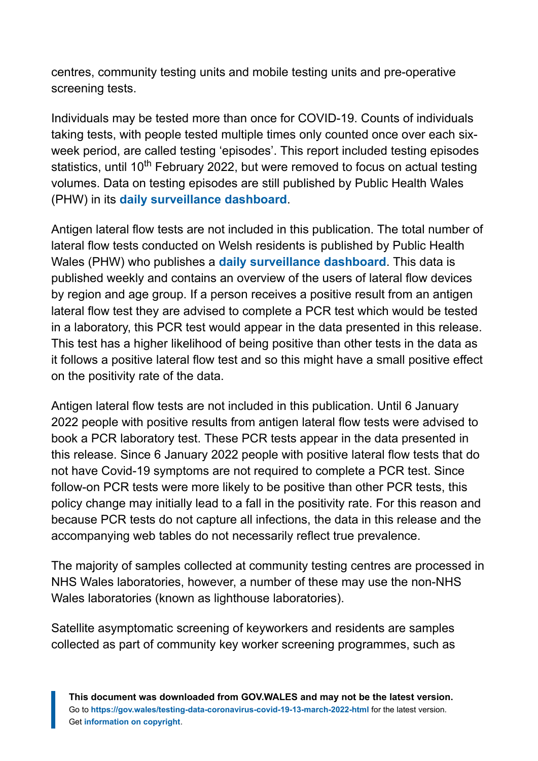centres, community testing units and mobile testing units and pre-operative screening tests.

Individuals may be tested more than once for COVID-19. Counts of individuals taking tests, with people tested multiple times only counted once over each sixweek period, are called testing 'episodes'. This report included testing episodes statistics, until 10<sup>th</sup> February 2022, but were removed to focus on actual testing volumes. Data on testing episodes are still published by Public Health Wales (PHW) in its **[daily surveillance dashboard](https://public.tableau.com/app/profile/public.health.wales.health.protection#!/vizhome/RapidCOVID-19virology-Public/Headlinesummary)**.

Antigen lateral flow tests are not included in this publication. The total number of lateral flow tests conducted on Welsh residents is published by Public Health Wales (PHW) who publishes a **[daily surveillance dashboard](https://public.tableau.com/profile/public.health.wales.health.protection#!/vizhome/RapidCOVID-19virology-Public/Headlinesummary)**. This data is published weekly and contains an overview of the users of lateral flow devices by region and age group. If a person receives a positive result from an antigen lateral flow test they are advised to complete a PCR test which would be tested in a laboratory, this PCR test would appear in the data presented in this release. This test has a higher likelihood of being positive than other tests in the data as it follows a positive lateral flow test and so this might have a small positive effect on the positivity rate of the data.

Antigen lateral flow tests are not included in this publication. Until 6 January 2022 people with positive results from antigen lateral flow tests were advised to book a PCR laboratory test. These PCR tests appear in the data presented in this release. Since 6 January 2022 people with positive lateral flow tests that do not have Covid-19 symptoms are not required to complete a PCR test. Since follow-on PCR tests were more likely to be positive than other PCR tests, this policy change may initially lead to a fall in the positivity rate. For this reason and because PCR tests do not capture all infections, the data in this release and the accompanying web tables do not necessarily reflect true prevalence.

The majority of samples collected at community testing centres are processed in NHS Wales laboratories, however, a number of these may use the non-NHS Wales laboratories (known as lighthouse laboratories).

Satellite asymptomatic screening of keyworkers and residents are samples collected as part of community key worker screening programmes, such as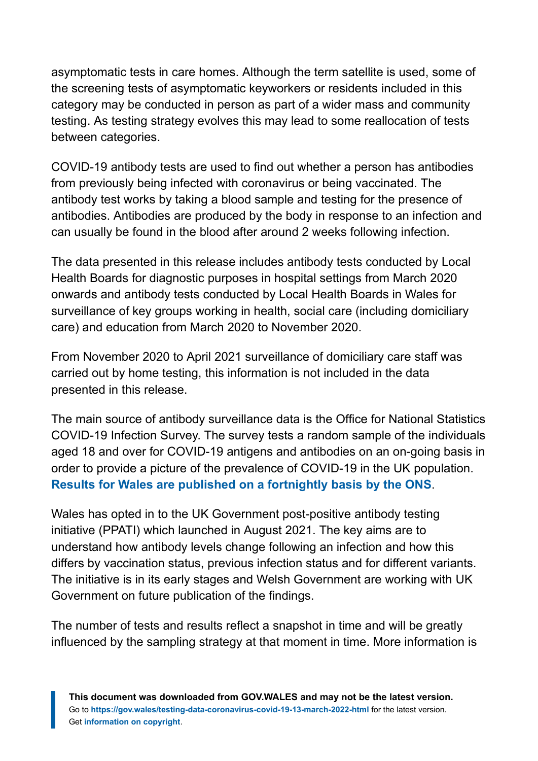asymptomatic tests in care homes. Although the term satellite is used, some of the screening tests of asymptomatic keyworkers or residents included in this category may be conducted in person as part of a wider mass and community testing. As testing strategy evolves this may lead to some reallocation of tests between categories.

COVID-19 antibody tests are used to find out whether a person has antibodies from previously being infected with coronavirus or being vaccinated. The antibody test works by taking a blood sample and testing for the presence of antibodies. Antibodies are produced by the body in response to an infection and can usually be found in the blood after around 2 weeks following infection.

The data presented in this release includes antibody tests conducted by Local Health Boards for diagnostic purposes in hospital settings from March 2020 onwards and antibody tests conducted by Local Health Boards in Wales for surveillance of key groups working in health, social care (including domiciliary care) and education from March 2020 to November 2020.

From November 2020 to April 2021 surveillance of domiciliary care staff was carried out by home testing, this information is not included in the data presented in this release.

The main source of antibody surveillance data is the Office for National Statistics COVID-19 Infection Survey. The survey tests a random sample of the individuals aged 18 and over for COVID-19 antigens and antibodies on an on-going basis in order to provide a picture of the prevalence of COVID-19 in the UK population. **[Results for Wales are published on a fortnightly basis by the ONS](https://www.ons.gov.uk/peoplepopulationandcommunity/healthandsocialcare/conditionsanddiseases/bulletins/coronaviruscovid19infectionsurveyantibodyandvaccinationdatafortheuk/7july2021#coronavirus-covid-19-infection-survey-data)**.

Wales has opted in to the UK Government post-positive antibody testing initiative (PPATI) which launched in August 2021. The key aims are to understand how antibody levels change following an infection and how this differs by vaccination status, previous infection status and for different variants. The initiative is in its early stages and Welsh Government are working with UK Government on future publication of the findings.

The number of tests and results reflect a snapshot in time and will be greatly influenced by the sampling strategy at that moment in time. More information is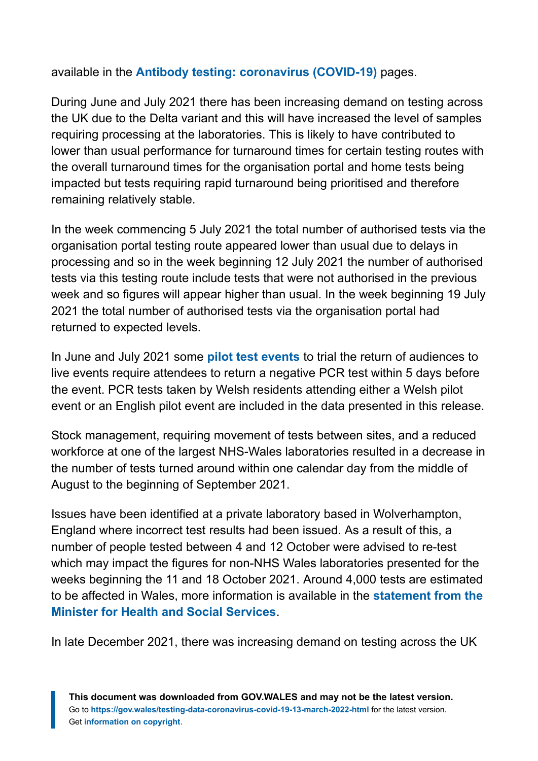available in the **[Antibody testing: coronavirus \(COVID-19\)](https://gov.wales/antibody-testing-coronavirus-covid-19)** pages.

During June and July 2021 there has been increasing demand on testing across the UK due to the Delta variant and this will have increased the level of samples requiring processing at the laboratories. This is likely to have contributed to lower than usual performance for turnaround times for certain testing routes with the overall turnaround times for the organisation portal and home tests being impacted but tests requiring rapid turnaround being prioritised and therefore remaining relatively stable.

In the week commencing 5 July 2021 the total number of authorised tests via the organisation portal testing route appeared lower than usual due to delays in processing and so in the week beginning 12 July 2021 the number of authorised tests via this testing route include tests that were not authorised in the previous week and so figures will appear higher than usual. In the week beginning 19 July 2021 the total number of authorised tests via the organisation portal had returned to expected levels.

In June and July 2021 some **[pilot test events](https://gov.wales/wales-pilot-test-events-get-underway)** to trial the return of audiences to live events require attendees to return a negative PCR test within 5 days before the event. PCR tests taken by Welsh residents attending either a Welsh pilot event or an English pilot event are included in the data presented in this release.

Stock management, requiring movement of tests between sites, and a reduced workforce at one of the largest NHS-Wales laboratories resulted in a decrease in the number of tests turned around within one calendar day from the middle of August to the beginning of September 2021.

Issues have been identified at a private laboratory based in Wolverhampton, England where incorrect test results had been issued. As a result of this, a number of people tested between 4 and 12 October were advised to re-test which may impact the figures for non-NHS Wales laboratories presented for the weeks beginning the 11 and 18 October 2021. Around 4,000 tests are estimated to be affected in Wales, more information is available in the **[statement from the](https://gov.wales/written-statement-has-issued-update-welsh-residents-impacted-incorrect-covid-19-test-results) [Minister for Health and Social Services](https://gov.wales/written-statement-has-issued-update-welsh-residents-impacted-incorrect-covid-19-test-results)**.

In late December 2021, there was increasing demand on testing across the UK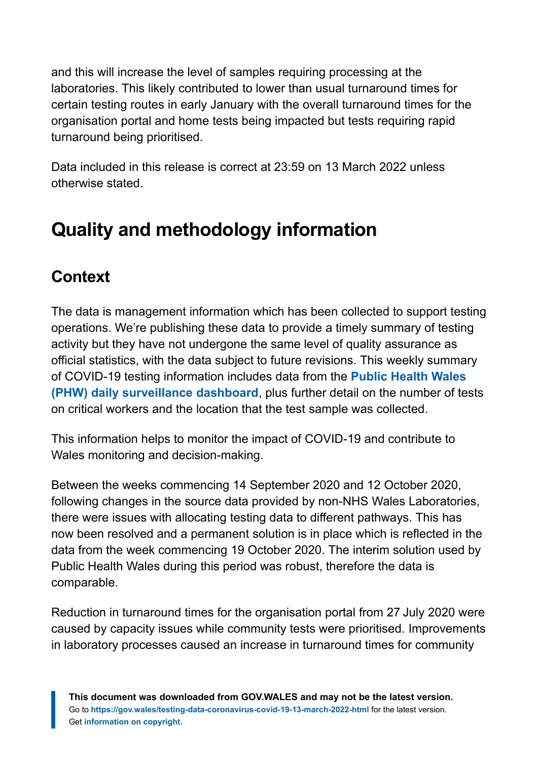and this will increase the level of samples requiring processing at the laboratories. This likely contributed to lower than usual turnaround times for certain testing routes in early January with the overall turnaround times for the organisation portal and home tests being impacted but tests requiring rapid turnaround being prioritised.

Data included in this release is correct at 23:59 on 13 March 2022 unless otherwise stated.

# <span id="page-15-0"></span>**Quality and methodology information**

# **Context**

The data is management information which has been collected to support testing operations. We're publishing these data to provide a timely summary of testing activity but they have not undergone the same level of quality assurance as official statistics, with the data subject to future revisions. This weekly summary of COVID-19 testing information includes data from the **[Public Health Wales](https://public.tableau.com/profile/public.health.wales.health.protection#!/vizhome/RapidCOVID-19virology-Public/Headlinesummary) [\(PHW\) daily surveillance dashboard](https://public.tableau.com/profile/public.health.wales.health.protection#!/vizhome/RapidCOVID-19virology-Public/Headlinesummary)**, plus further detail on the number of tests on critical workers and the location that the test sample was collected.

This information helps to monitor the impact of COVID-19 and contribute to Wales monitoring and decision-making.

Between the weeks commencing 14 September 2020 and 12 October 2020, following changes in the source data provided by non-NHS Wales Laboratories, there were issues with allocating testing data to different pathways. This has now been resolved and a permanent solution is in place which is reflected in the data from the week commencing 19 October 2020. The interim solution used by Public Health Wales during this period was robust, therefore the data is comparable.

Reduction in turnaround times for the organisation portal from 27 July 2020 were caused by capacity issues while community tests were prioritised. Improvements in laboratory processes caused an increase in turnaround times for community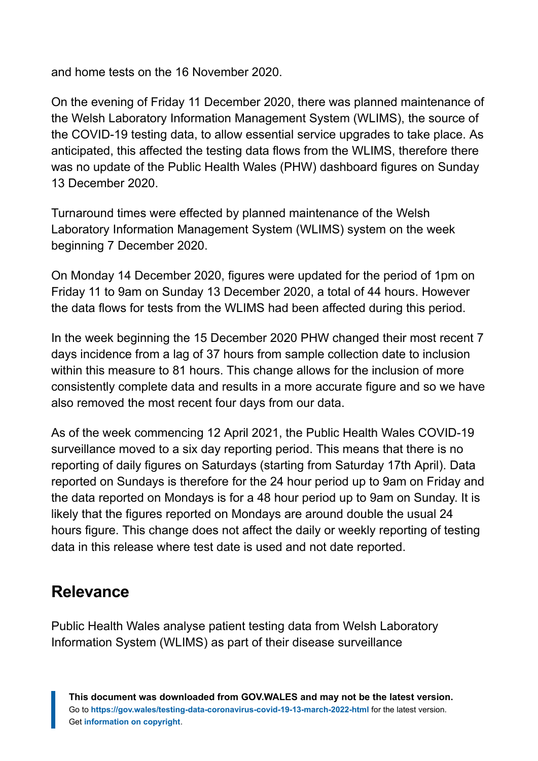and home tests on the 16 November 2020.

On the evening of Friday 11 December 2020, there was planned maintenance of the Welsh Laboratory Information Management System (WLIMS), the source of the COVID-19 testing data, to allow essential service upgrades to take place. As anticipated, this affected the testing data flows from the WLIMS, therefore there was no update of the Public Health Wales (PHW) dashboard figures on Sunday 13 December 2020.

Turnaround times were effected by planned maintenance of the Welsh Laboratory Information Management System (WLIMS) system on the week beginning 7 December 2020.

On Monday 14 December 2020, figures were updated for the period of 1pm on Friday 11 to 9am on Sunday 13 December 2020, a total of 44 hours. However the data flows for tests from the WLIMS had been affected during this period.

In the week beginning the 15 December 2020 PHW changed their most recent 7 days incidence from a lag of 37 hours from sample collection date to inclusion within this measure to 81 hours. This change allows for the inclusion of more consistently complete data and results in a more accurate figure and so we have also removed the most recent four days from our data.

As of the week commencing 12 April 2021, the Public Health Wales COVID-19 surveillance moved to a six day reporting period. This means that there is no reporting of daily figures on Saturdays (starting from Saturday 17th April). Data reported on Sundays is therefore for the 24 hour period up to 9am on Friday and the data reported on Mondays is for a 48 hour period up to 9am on Sunday. It is likely that the figures reported on Mondays are around double the usual 24 hours figure. This change does not affect the daily or weekly reporting of testing data in this release where test date is used and not date reported.

### **Relevance**

Public Health Wales analyse patient testing data from Welsh Laboratory Information System (WLIMS) as part of their disease surveillance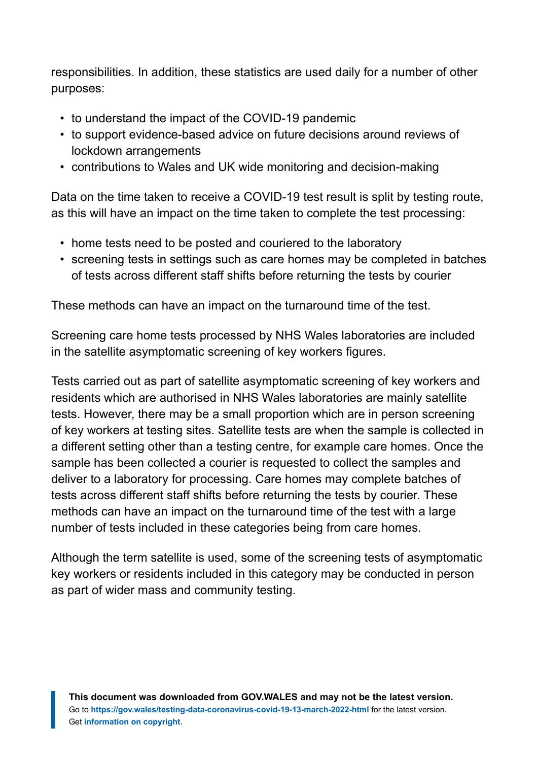responsibilities. In addition, these statistics are used daily for a number of other purposes:

- to understand the impact of the COVID-19 pandemic
- to support evidence-based advice on future decisions around reviews of lockdown arrangements
- contributions to Wales and UK wide monitoring and decision-making

Data on the time taken to receive a COVID-19 test result is split by testing route, as this will have an impact on the time taken to complete the test processing:

- home tests need to be posted and couriered to the laboratory
- screening tests in settings such as care homes may be completed in batches of tests across different staff shifts before returning the tests by courier

These methods can have an impact on the turnaround time of the test.

Screening care home tests processed by NHS Wales laboratories are included in the satellite asymptomatic screening of key workers figures.

Tests carried out as part of satellite asymptomatic screening of key workers and residents which are authorised in NHS Wales laboratories are mainly satellite tests. However, there may be a small proportion which are in person screening of key workers at testing sites. Satellite tests are when the sample is collected in a different setting other than a testing centre, for example care homes. Once the sample has been collected a courier is requested to collect the samples and deliver to a laboratory for processing. Care homes may complete batches of tests across different staff shifts before returning the tests by courier. These methods can have an impact on the turnaround time of the test with a large number of tests included in these categories being from care homes.

Although the term satellite is used, some of the screening tests of asymptomatic key workers or residents included in this category may be conducted in person as part of wider mass and community testing.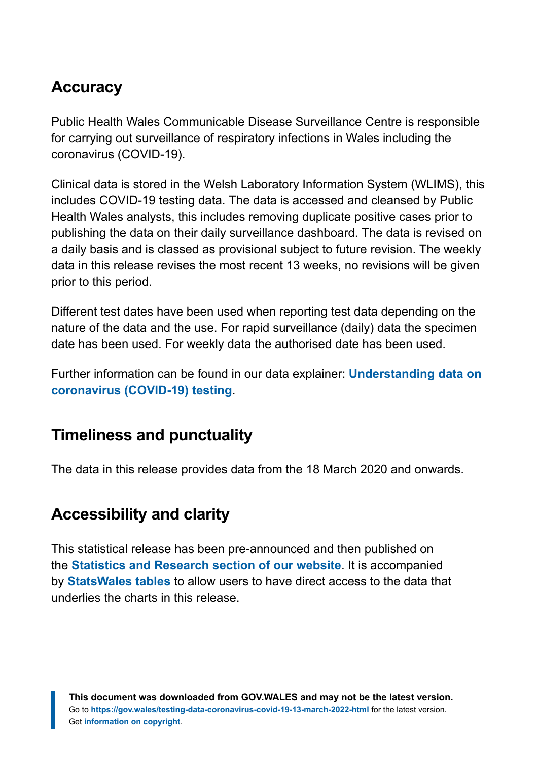### **Accuracy**

Public Health Wales Communicable Disease Surveillance Centre is responsible for carrying out surveillance of respiratory infections in Wales including the coronavirus (COVID-19).

Clinical data is stored in the Welsh Laboratory Information System (WLIMS), this includes COVID-19 testing data. The data is accessed and cleansed by Public Health Wales analysts, this includes removing duplicate positive cases prior to publishing the data on their daily surveillance dashboard. The data is revised on a daily basis and is classed as provisional subject to future revision. The weekly data in this release revises the most recent 13 weeks, no revisions will be given prior to this period.

Different test dates have been used when reporting test data depending on the nature of the data and the use. For rapid surveillance (daily) data the specimen date has been used. For weekly data the authorised date has been used.

Further information can be found in our data explainer: **[Understanding data on](https://gov.wales/understanding-data-coronavirus-covid-19-testing) [coronavirus \(COVID-19\) testing](https://gov.wales/understanding-data-coronavirus-covid-19-testing)**.

### **Timeliness and punctuality**

The data in this release provides data from the 18 March 2020 and onwards.

### **Accessibility and clarity**

This statistical release has been pre-announced and then published on the **[Statistics and Research section of our website](https://gov.wales/statistics-and-research)**. It is accompanied by **[StatsWales tables](https://statswales.gov.wales/)** to allow users to have direct access to the data that underlies the charts in this release.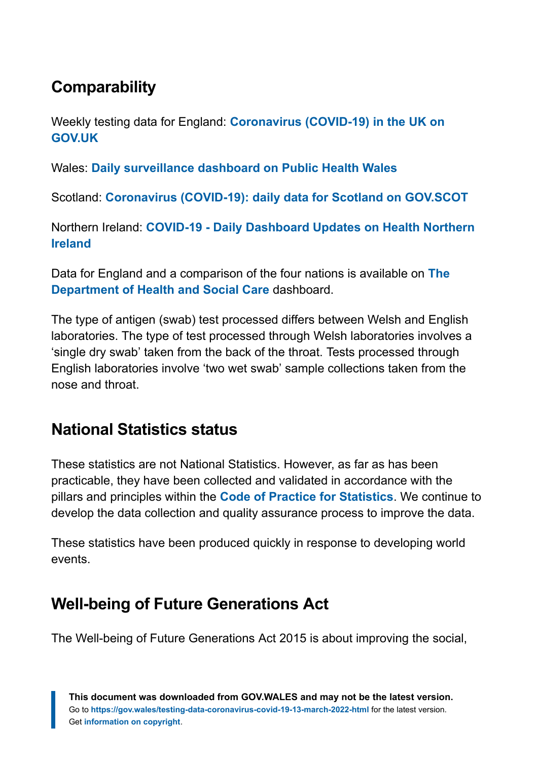# **Comparability**

Weekly testing data for England: **[Coronavirus \(COVID-19\) in the UK on](https://coronavirus.data.gov.uk/) [GOV.UK](https://coronavirus.data.gov.uk/)**

Wales: **[Daily surveillance dashboard on Public Health Wales](https://public.tableau.com/profile/public.health.wales.health.protection#!/vizhome/RapidCOVID-19virology-Public/Headlinesummary)**

Scotland: **[Coronavirus \(COVID-19\): daily data for Scotland on GOV.SCOT](https://www.gov.scot/publications/coronavirus-covid-19-daily-data-for-scotland/)**

Northern Ireland: **[COVID-19 - Daily Dashboard Updates on Health Northern](https://www.health-ni.gov.uk/articles/covid-19-daily-dashboard-updates) [Ireland](https://www.health-ni.gov.uk/articles/covid-19-daily-dashboard-updates)**

Data for England and a comparison of the four nations is available on **[The](https://coronavirus.data.gov.uk/) [Department of Health and Social Care](https://coronavirus.data.gov.uk/)** dashboard.

The type of antigen (swab) test processed differs between Welsh and English laboratories. The type of test processed through Welsh laboratories involves a 'single dry swab' taken from the back of the throat. Tests processed through English laboratories involve 'two wet swab' sample collections taken from the nose and throat.

### **National Statistics status**

These statistics are not National Statistics. However, as far as has been practicable, they have been collected and validated in accordance with the pillars and principles within the **[Code of Practice for Statistics](https://code.statisticsauthority.gov.uk/)**. We continue to develop the data collection and quality assurance process to improve the data.

These statistics have been produced quickly in response to developing world events.

## **Well-being of Future Generations Act**

The Well-being of Future Generations Act 2015 is about improving the social,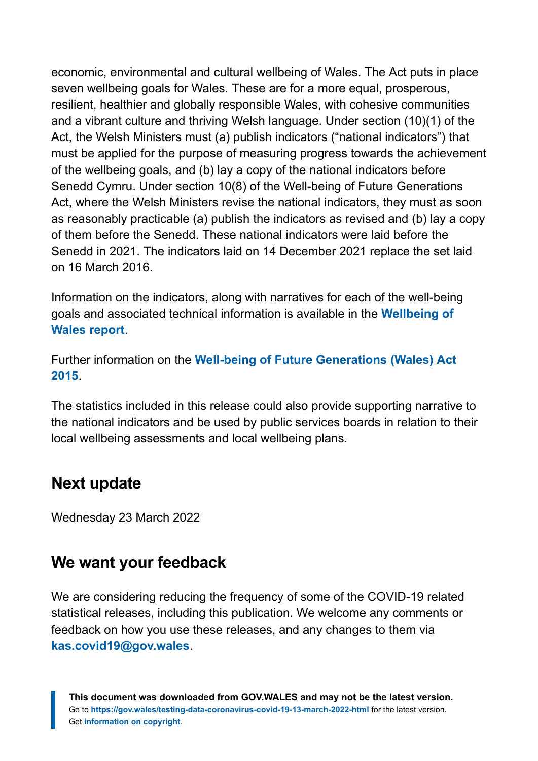economic, environmental and cultural wellbeing of Wales. The Act puts in place seven wellbeing goals for Wales. These are for a more equal, prosperous, resilient, healthier and globally responsible Wales, with cohesive communities and a vibrant culture and thriving Welsh language. Under section (10)(1) of the Act, the Welsh Ministers must (a) publish indicators ("national indicators") that must be applied for the purpose of measuring progress towards the achievement of the wellbeing goals, and (b) lay a copy of the national indicators before Senedd Cymru. Under section 10(8) of the Well-being of Future Generations Act, where the Welsh Ministers revise the national indicators, they must as soon as reasonably practicable (a) publish the indicators as revised and (b) lay a copy of them before the Senedd. These national indicators were laid before the Senedd in 2021. The indicators laid on 14 December 2021 replace the set laid on 16 March 2016.

Information on the indicators, along with narratives for each of the well-being goals and associated technical information is available in the **[Wellbeing of](https://gov.wales/wellbeing-wales) [Wales report](https://gov.wales/wellbeing-wales)**.

Further information on the **[Well-being of Future Generations \(Wales\) Act](https://gov.wales/well-being-future-generations-wales-act-2015-guidance) [2015](https://gov.wales/well-being-future-generations-wales-act-2015-guidance)**.

The statistics included in this release could also provide supporting narrative to the national indicators and be used by public services boards in relation to their local wellbeing assessments and local wellbeing plans.

#### **Next update**

Wednesday 23 March 2022

#### **We want your feedback**

We are considering reducing the frequency of some of the COVID-19 related statistical releases, including this publication. We welcome any comments or feedback on how you use these releases, and any changes to them via **[kas.covid19@gov.wales](mailto:kas.covid19@gov.wales)**.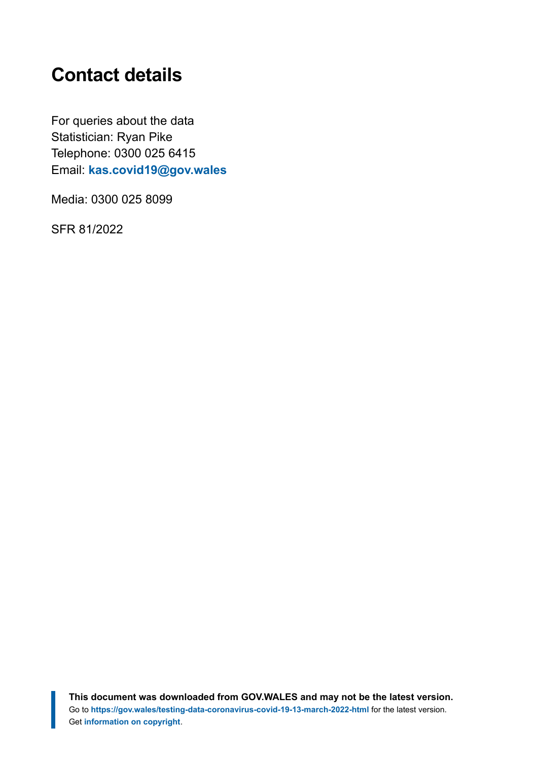# <span id="page-21-0"></span>**Contact details**

For queries about the data Statistician: Ryan Pike Telephone: 0300 025 6415 Email: **[kas.covid19@gov.wales](mailto:KAS.COVID19@gov.wales)**

Media: 0300 025 8099

SFR 81/2022